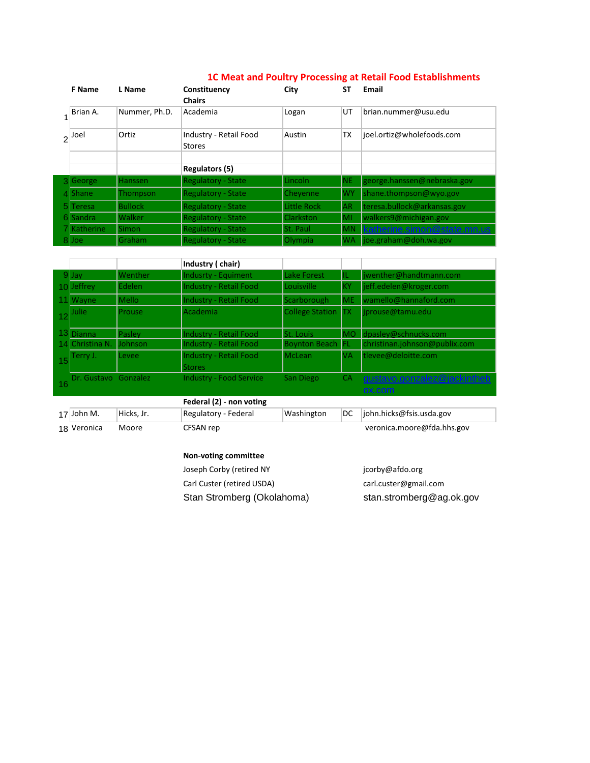|    | <b>F</b> Name                | L Name         | Constituency<br><b>Chairs</b>           | City             | SΤ        | Email                             |  |
|----|------------------------------|----------------|-----------------------------------------|------------------|-----------|-----------------------------------|--|
|    | Brian A.                     | Nummer, Ph.D.  | Academia                                | Logan            | UT        | brian.nummer@usu.edu              |  |
|    | Ortiz<br>$2^{ \text{J0el} }$ |                | Industry - Retail Food<br><b>Stores</b> | Austin           | <b>TX</b> | joel.ortiz@wholefoods.com         |  |
|    |                              |                |                                         |                  |           |                                   |  |
|    |                              |                | <b>Regulators (5)</b>                   |                  |           |                                   |  |
| ЗΙ | George                       | Hanssen        | <b>Regulatory - State</b>               | Lincoln          | NE.       | george.hanssen@nebraska.gov       |  |
|    | <b>Shane</b>                 | Thompson       | <b>Regulatory - State</b>               | Chevenne         | <b>WY</b> | shane.thompson@wyo.gov            |  |
|    | <b>Teresa</b>                | <b>Bullock</b> | <b>Regulatory - State</b>               | Little Rock      | <b>AR</b> | teresa.bullock@arkansas.gov       |  |
| 61 | <b>Sandra</b>                | <b>Walker</b>  | <b>Regulatory - State</b>               | <b>Clarkston</b> | MI        | walkers9@michigan.gov             |  |
|    | <b>Katherine</b>             | Simon          | <b>Regulatory - State</b>               | <b>St. Paul</b>  | <b>MN</b> |                                   |  |
| 81 | Joe                          | Graham         | <b>Regulatory - State</b>               | Olympia          | <b>WA</b> | $\parallel$ joe.graham@doh.wa.gov |  |

## **1C Meat and Poultry Processing at Retail Food Establishments**

|    |                         |         | Industry (chair)                        |                        |           |                                       |
|----|-------------------------|---------|-----------------------------------------|------------------------|-----------|---------------------------------------|
|    | $9$ Jav                 | Wenther | <b>Indusrty - Equiment</b>              | <b>Lake Forest</b>     | IL        | jwenther@handtmann.com                |
|    | 10 Jeffrey              | Edelen  | <b>Industry - Retail Food</b>           | Louisville             | KY        | jeff.edelen@kroger.com                |
|    | 11 Wayne                | Mello   | <b>Industry - Retail Food</b>           | Scarborough            | <b>ME</b> | wamello@hannaford.com                 |
|    | <b>Julie</b>            | Prouse  | Academia                                | <b>College Station</b> | TХ        | jprouse@tamu.edu                      |
|    | 13 Dianna               | Pasley  | <b>Industry - Retail Food</b>           | <b>St. Louis</b>       | IMO.      | $\log_{10}$ dpasley@schnucks.com      |
|    | 14 Christina N.         | Johnson | <b>Industry - Retail Food</b>           | <b>Boynton Beach</b>   | IFL       | christinan.johnson@publix.com         |
| 15 | Terry J.                | Levee   | Industry - Retail Food<br><b>Stores</b> | <b>McLean</b>          | <b>VA</b> | tlevee@deloitte.com                   |
|    | 16 Dr. Gustavo Gonzalez |         | <b>Industry - Food Service</b>          | San Diego              | <b>CA</b> | qustavo.gonzalez@jackintheb<br>ox.com |
|    |                         |         | Federal (2) - non voting                |                        |           |                                       |

| $17$ John M. | Hicks. Jr. | Regulatory - Federal | Washington | $ DC $ $ 0$ hn.hicks@fsis.usda.gov |
|--------------|------------|----------------------|------------|------------------------------------|
| 18 Veronica  | Moore      | CFSAN rep            |            | veronica.moore@fda.hhs.gov         |

## **Non-voting committee**

Joseph Corby (retired NY Ag) Carl Custer (retired USDA) carl.custer@gmail.com

jcorby@afdo.org Stan Stromberg (Okolahoma) stan.stromberg@ag.ok.gov